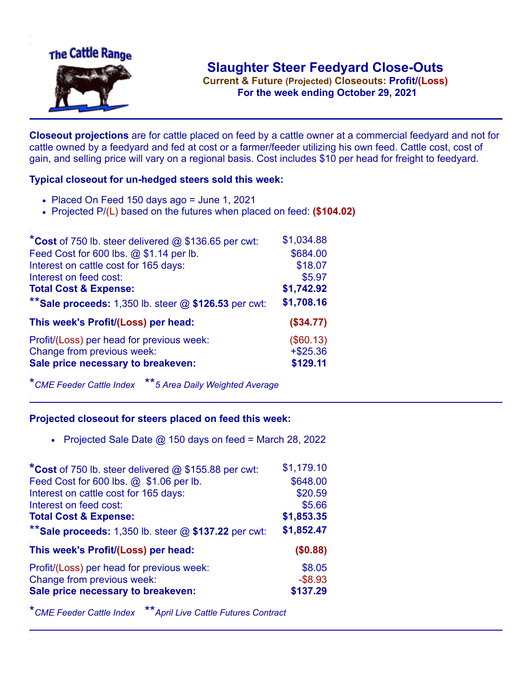

**Current & Future (Projected) Closeouts: Profit/(Loss)** .**For the week ending October 29, 2021**

**Closeout projections** are for cattle placed on feed by a cattle owner at a commercial feedyard and not for cattle owned by a feedyard and fed at cost or a farmer/feeder utilizing his own feed. Cattle cost, cost of gain, and selling price will vary on a regional basis. Cost includes \$10 per head for freight to feedyard.

## **Typical closeout for un-hedged steers sold this week:**

- $\bullet$  Placed On Feed 150 days ago = June 1, 2021
- Projected P/(L) based on the futures when placed on feed: **(\$104.02)**

| *Cost of 750 lb. steer delivered $@$ \$136.65 per cwt:  | \$1,034.88 |
|---------------------------------------------------------|------------|
| Feed Cost for 600 lbs. @ \$1.14 per lb.                 | \$684.00   |
| Interest on cattle cost for 165 days:                   | \$18.07    |
| Interest on feed cost:                                  | \$5.97     |
| <b>Total Cost &amp; Expense:</b>                        | \$1,742.92 |
| ** Sale proceeds: 1,350 lb. steer $@$ \$126.53 per cwt: | \$1,708.16 |
| This week's Profit/(Loss) per head:                     | (\$34.77)  |
| Profit/(Loss) per head for previous week:               | (\$60.13)  |
| Change from previous week:                              | $+ $25.36$ |
| Sale price necessary to breakeven:                      | \$129.11   |

\**CME Feeder Cattle Index* \*\**5 Area Daily Weighted Average*

## **Projected closeout for steers placed on feed this week:**

• Projected Sale Date  $@$  150 days on feed = March 28, 2022

| \$1,179.10 |
|------------|
| \$648.00   |
| \$20.59    |
| \$5.66     |
| \$1,853.35 |
| \$1,852.47 |
| (\$0.88)   |
| \$8.05     |
| $-$ \$8.93 |
| \$137.29   |
|            |

\**CME Feeder Cattle Index* \*\**April Live Cattle Futures Contract*